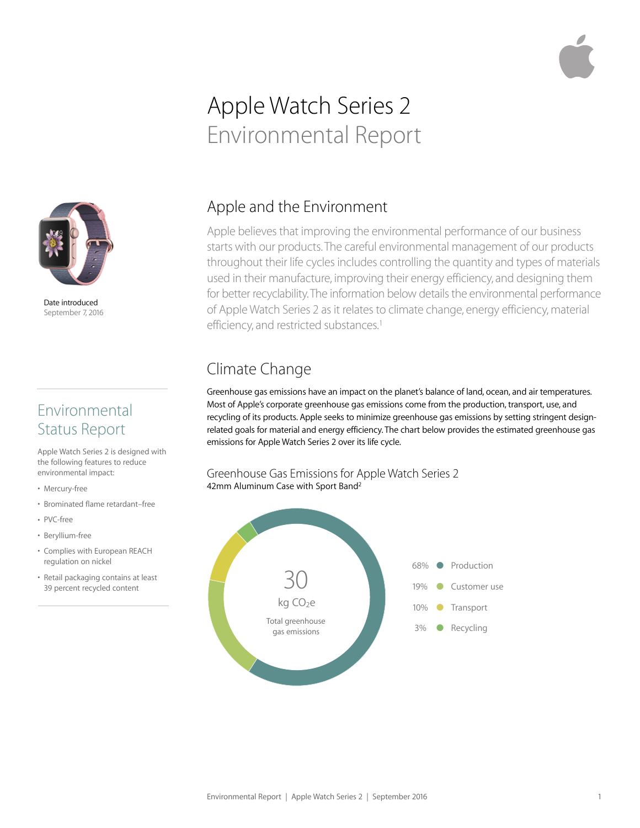# Apple Watch Series 2 Environmental Report



Date introduced September 7, 2016

#### Environmental Status Report

Apple Watch Series 2 is designed with the following features to reduce environmental impact:

- Mercury-free
- Brominated flame retardant–free
- PVC-free
- Beryllium-free
- Complies with European REACH regulation on nickel
- Retail packaging contains at least 39 percent recycled content

#### Apple and the Environment

Apple believes that improving the environmental performance of our business starts with our products. The careful environmental management of our products throughout their life cycles includes controlling the quantity and types of materials used in their manufacture, improving their energy efficiency, and designing them for better recyclability. The information below details the environmental performance of Apple Watch Series 2 as it relates to climate change, energy efficiency, material efficiency, and restricted substances.<sup>1</sup>

# Climate Change

Greenhouse gas emissions have an impact on the planet's balance of land, ocean, and air temperatures. Most of Apple's corporate greenhouse gas emissions come from the production, transport, use, and recycling of its products. Apple seeks to minimize greenhouse gas emissions by setting stringent designrelated goals for material and energy efficiency. The chart below provides the estimated greenhouse gas emissions for Apple Watch Series 2 over its life cycle.

Greenhouse Gas Emissions for Apple Watch Series 2 42mm Aluminum Case with Sport Band<sup>2</sup>

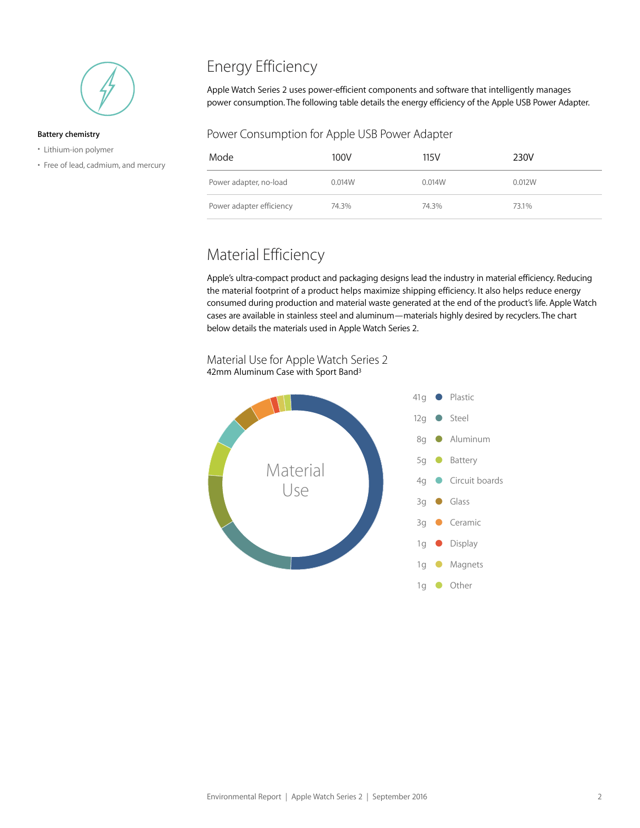

#### **Battery chemistry**

- Lithium-ion polymer
- Free of lead, cadmium, and mercury

## Energy Efficiency

Apple Watch Series 2 uses power-efficient components and software that intelligently manages power consumption. The following table details the energy efficiency of the Apple USB Power Adapter.

#### Power Consumption for Apple USB Power Adapter

| Mode                     | 100V   | 115V   | 230V   |
|--------------------------|--------|--------|--------|
| Power adapter, no-load   | 0.014W | 0.014W | 0.012W |
| Power adapter efficiency | 74.3%  | 74.3%  | 73.1%  |

#### Material Efficiency

Apple's ultra-compact product and packaging designs lead the industry in material efficiency. Reducing the material footprint of a product helps maximize shipping efficiency. It also helps reduce energy consumed during production and material waste generated at the end of the product's life. Apple Watch cases are available in stainless steel and aluminum—materials highly desired by recyclers. The chart below details the materials used in Apple Watch Series 2.

Material Use for Apple Watch Series 2 42mm Aluminum Case with Sport Band<sup>3</sup>

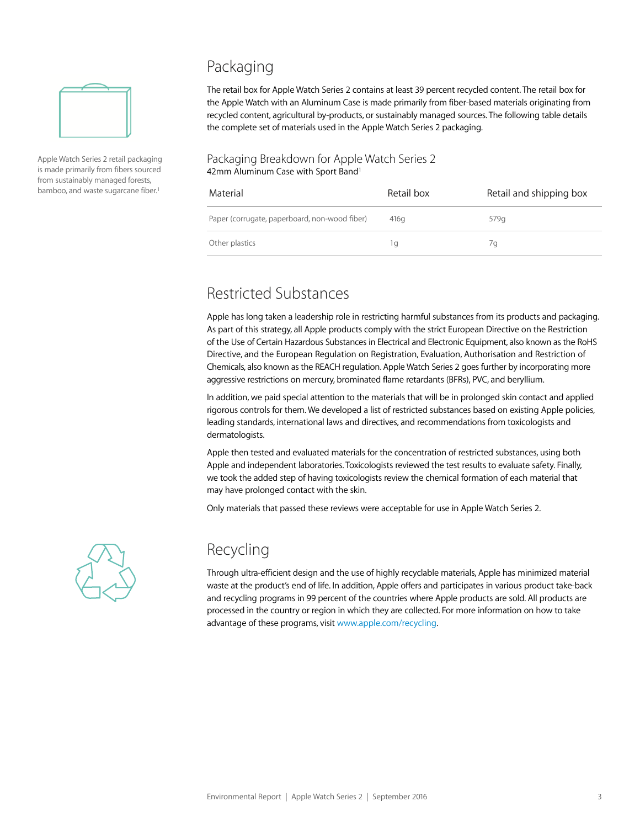

Apple Watch Series 2 retail packaging is made primarily from fibers sourced from sustainably managed forests, bamboo, and waste sugarcane fiber.<sup>1</sup>

#### Packaging

The retail box for Apple Watch Series 2 contains at least 39 percent recycled content. The retail box for the Apple Watch with an Aluminum Case is made primarily from fiber-based materials originating from recycled content, agricultural by-products, or sustainably managed sources. The following table details the complete set of materials used in the Apple Watch Series 2 packaging.

#### Packaging Breakdown for Apple Watch Series 2 42mm Aluminum Case with Sport Band<sup>1</sup>

| Material                                      | Retail box       | Retail and shipping box |
|-----------------------------------------------|------------------|-------------------------|
| Paper (corrugate, paperboard, non-wood fiber) | 416 <sub>a</sub> | 579g                    |
| Other plastics                                | Ίq               | 7а                      |

## Restricted Substances

Apple has long taken a leadership role in restricting harmful substances from its products and packaging. As part of this strategy, all Apple products comply with the strict European Directive on the Restriction of the Use of Certain Hazardous Substances in Electrical and Electronic Equipment, also known as the RoHS Directive, and the European Regulation on Registration, Evaluation, Authorisation and Restriction of Chemicals, also known as the REACH regulation. Apple Watch Series 2 goes further by incorporating more aggressive restrictions on mercury, brominated flame retardants (BFRs), PVC, and beryllium.

In addition, we paid special attention to the materials that will be in prolonged skin contact and applied rigorous controls for them. We developed a list of restricted substances based on existing Apple policies, leading standards, international laws and directives, and recommendations from toxicologists and dermatologists.

Apple then tested and evaluated materials for the concentration of restricted substances, using both Apple and independent laboratories. Toxicologists reviewed the test results to evaluate safety. Finally, we took the added step of having toxicologists review the chemical formation of each material that may have prolonged contact with the skin.

Only materials that passed these reviews were acceptable for use in Apple Watch Series 2.



#### Recycling

Through ultra-efficient design and the use of highly recyclable materials, Apple has minimized material waste at the product's end of life. In addition, Apple offers and participates in various product take-back and recycling programs in 99 percent of the countries where Apple products are sold. All products are processed in the country or region in which they are collected. For more information on how to take advantage of these programs, visit [www.apple.com/recycling](http://www.apple.com/recycling).